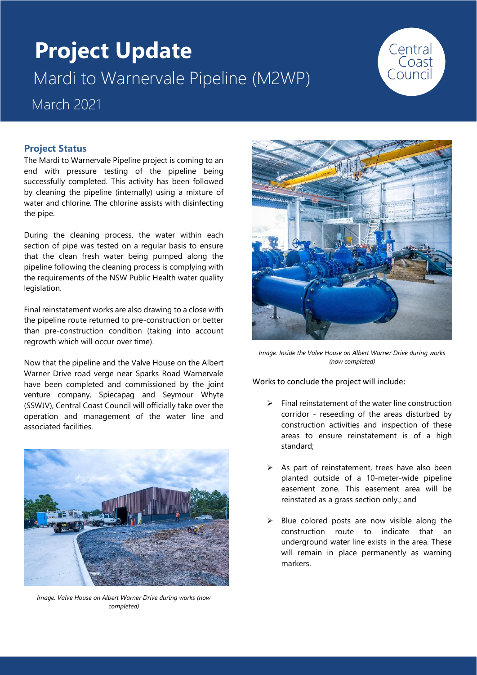# **Project Update** Mardi to Warnervale Pipeline (M2WP)



# March 2021

# **Project Status**

The Mardi to Warnervale Pipeline project is coming to an end with pressure testing of the pipeline being successfully completed. This activity has been followed by cleaning the pipeline (internally) using a mixture of water and chlorine. The chlorine assists with disinfecting the pipe.

During the cleaning process, the water within each section of pipe was tested on a regular basis to ensure that the clean fresh water being pumped along the pipeline following the cleaning process is complying with the requirements of the NSW Public Health water quality legislation.

Final reinstatement works are also drawing to a close with the pipeline route returned to pre-construction or better than pre-construction condition (taking into account regrowth which will occur over time).

Now that the pipeline and the Valve House on the Albert Warner Drive road verge near Sparks Road Warnervale have been completed and commissioned by the joint venture company, Spiecapag and Seymour Whyte (SSWJV), Central Coast Council will officially take over the operation and management of the water line and associated facilities.



*Image: Valve House on Albert Warner Drive during works (now completed)*



*Image: Inside the Valve House on Albert Warner Drive during works (now completed)*

Works to conclude the project will include:

- ➢ Final reinstatement of the water line construction corridor - reseeding of the areas disturbed by construction activities and inspection of these areas to ensure reinstatement is of a high standard;
- $\triangleright$  As part of reinstatement, trees have also been planted outside of a 10-meter-wide pipeline easement zone. This easement area will be reinstated as a grass section only.; and
- $\triangleright$  Blue colored posts are now visible along the construction route to indicate that an underground water line exists in the area. These will remain in place permanently as warning markers.